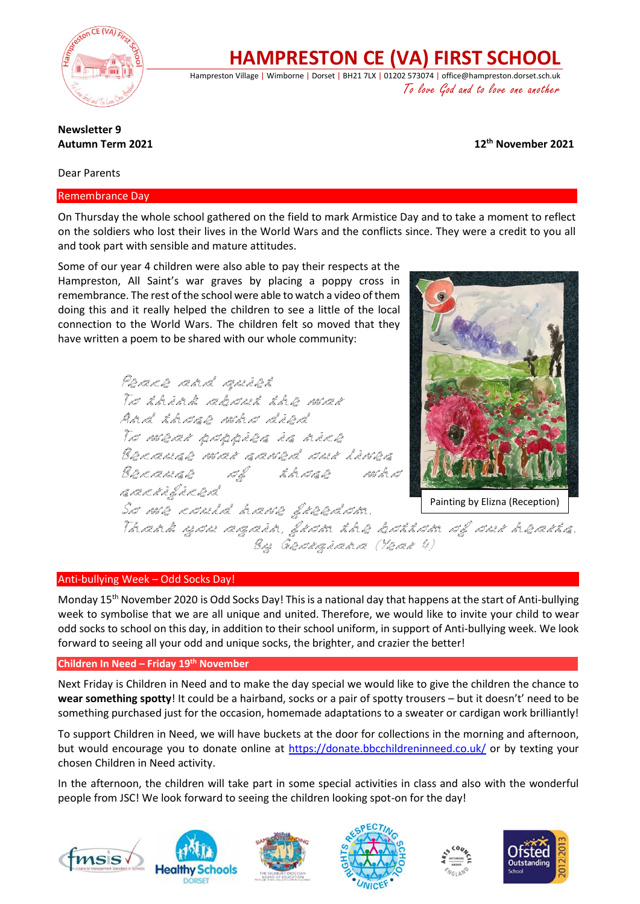

**HAMPRESTON CE (VA) FIRST SCHOOL**

Hampreston Village | Wimborne | Dorset | BH21 7LX | 01202 573074 | office@hampreston.dorset.sch.uk To love God and to love one another

#### **Newsletter 9 Autumn Term 2021**

**th November 2021**

Dear Parents

Remembrance Day

On Thursday the whole school gathered on the field to mark Armistice Day and to take a moment to reflect on the soldiers who lost their lives in the World Wars and the conflicts since. They were a credit to you all and took part with sensible and mature attitudes.

Some of our year 4 children were also able to pay their respects at the Hampreston, All Saint's war graves by placing a poppy cross in remembrance. The rest of the school were able to watch a video of them doing this and it really helped the children to see a little of the local connection to the World Wars. The children felt so moved that they have written a poem to be shared with our whole community:

> Peace and quiet To think about the war And those who died To wear poppies is nice Because war saved our lives Because of those who sacrificed So we could have freedom.



Painting by Elizna (Reception)

Thank you again, from the bottom of our hearts. By Georgiana (Year 4)

## Anti-bullying Week – Odd Socks Day!

Monday 15<sup>th</sup> November 2020 is Odd Socks Day! This is a national day that happens at the start of Anti-bullying week to symbolise that we are all unique and united. Therefore, we would like to invite your child to wear odd socks to school on this day, in addition to their school uniform, in support of Anti-bullying week. We look forward to seeing all your odd and unique socks, the brighter, and crazier the better!

#### **Children In Need – Friday 19th November**

Next Friday is Children in Need and to make the day special we would like to give the children the chance to **wear something spotty**! It could be a hairband, socks or a pair of spotty trousers – but it doesn't' need to be something purchased just for the occasion, homemade adaptations to a sweater or cardigan work brilliantly!

To support Children in Need, we will have buckets at the door for collections in the morning and afternoon, but would encourage you to donate online at<https://donate.bbcchildreninneed.co.uk/> or by texting your chosen Children in Need activity.

In the afternoon, the children will take part in some special activities in class and also with the wonderful people from JSC! We look forward to seeing the children looking spot-on for the day!











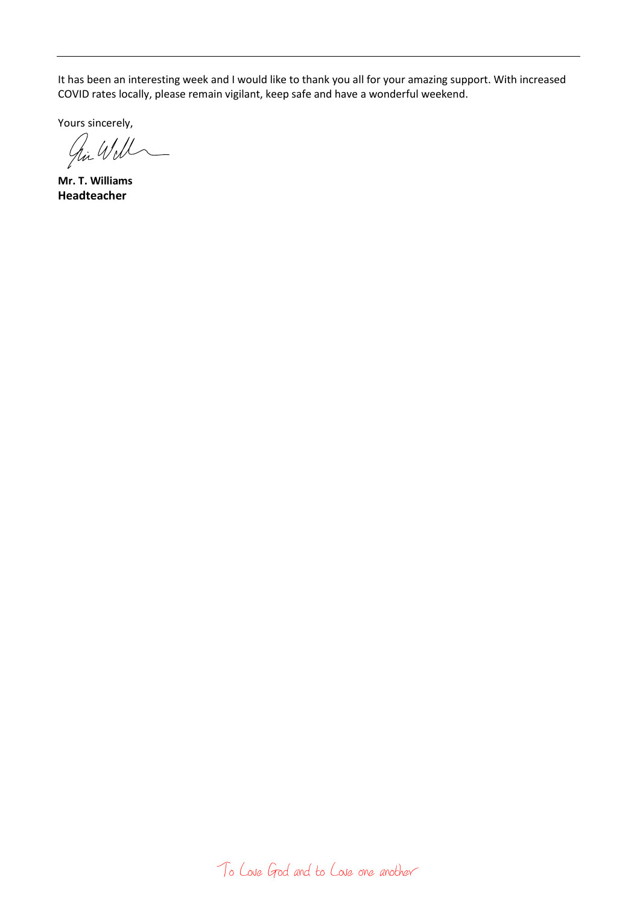It has been an interesting week and I would like to thank you all for your amazing support. With increased COVID rates locally, please remain vigilant, keep safe and have a wonderful weekend.

Yours sincerely,<br> $\mathcal{U}_{\mathcal{U}}$ 

**Mr. T. Williams Headteacher**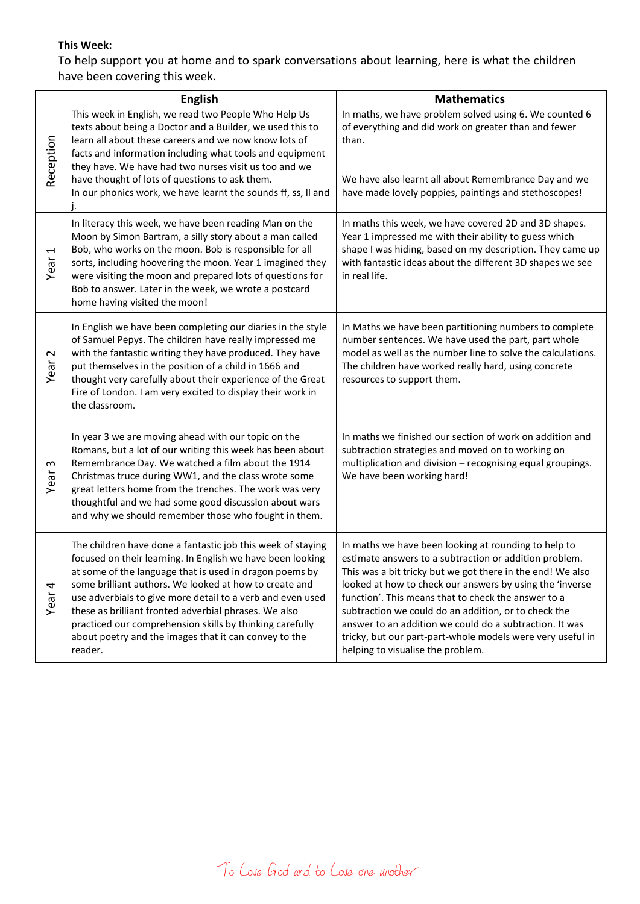### **This Week:**

To help support you at home and to spark conversations about learning, here is what the children have been covering this week.

|                                  | <b>English</b>                                                                                                                                                                                                                                                                                                                                                                                                                                                                                        | <b>Mathematics</b>                                                                                                                                                                                                                                                                                                                                                                                                                                                                                                    |
|----------------------------------|-------------------------------------------------------------------------------------------------------------------------------------------------------------------------------------------------------------------------------------------------------------------------------------------------------------------------------------------------------------------------------------------------------------------------------------------------------------------------------------------------------|-----------------------------------------------------------------------------------------------------------------------------------------------------------------------------------------------------------------------------------------------------------------------------------------------------------------------------------------------------------------------------------------------------------------------------------------------------------------------------------------------------------------------|
| Reception                        | This week in English, we read two People Who Help Us<br>texts about being a Doctor and a Builder, we used this to<br>learn all about these careers and we now know lots of<br>facts and information including what tools and equipment<br>they have. We have had two nurses visit us too and we<br>have thought of lots of questions to ask them.<br>In our phonics work, we have learnt the sounds ff, ss, II and                                                                                    | In maths, we have problem solved using 6. We counted 6<br>of everything and did work on greater than and fewer<br>than.<br>We have also learnt all about Remembrance Day and we<br>have made lovely poppies, paintings and stethoscopes!                                                                                                                                                                                                                                                                              |
| $\overline{\phantom{0}}$<br>Year | In literacy this week, we have been reading Man on the<br>Moon by Simon Bartram, a silly story about a man called<br>Bob, who works on the moon. Bob is responsible for all<br>sorts, including hoovering the moon. Year 1 imagined they<br>were visiting the moon and prepared lots of questions for<br>Bob to answer. Later in the week, we wrote a postcard<br>home having visited the moon!                                                                                                       | In maths this week, we have covered 2D and 3D shapes.<br>Year 1 impressed me with their ability to guess which<br>shape I was hiding, based on my description. They came up<br>with fantastic ideas about the different 3D shapes we see<br>in real life.                                                                                                                                                                                                                                                             |
| $\sim$<br>Year                   | In English we have been completing our diaries in the style<br>of Samuel Pepys. The children have really impressed me<br>with the fantastic writing they have produced. They have<br>put themselves in the position of a child in 1666 and<br>thought very carefully about their experience of the Great<br>Fire of London. I am very excited to display their work in<br>the classroom.                                                                                                              | In Maths we have been partitioning numbers to complete<br>number sentences. We have used the part, part whole<br>model as well as the number line to solve the calculations.<br>The children have worked really hard, using concrete<br>resources to support them.                                                                                                                                                                                                                                                    |
| S<br>Year                        | In year 3 we are moving ahead with our topic on the<br>Romans, but a lot of our writing this week has been about<br>Remembrance Day. We watched a film about the 1914<br>Christmas truce during WW1, and the class wrote some<br>great letters home from the trenches. The work was very<br>thoughtful and we had some good discussion about wars<br>and why we should remember those who fought in them.                                                                                             | In maths we finished our section of work on addition and<br>subtraction strategies and moved on to working on<br>multiplication and division - recognising equal groupings.<br>We have been working hard!                                                                                                                                                                                                                                                                                                             |
| 4<br>Year                        | The children have done a fantastic job this week of staying<br>focused on their learning. In English we have been looking<br>at some of the language that is used in dragon poems by<br>some brilliant authors. We looked at how to create and<br>use adverbials to give more detail to a verb and even used<br>these as brilliant fronted adverbial phrases. We also<br>practiced our comprehension skills by thinking carefully<br>about poetry and the images that it can convey to the<br>reader. | In maths we have been looking at rounding to help to<br>estimate answers to a subtraction or addition problem.<br>This was a bit tricky but we got there in the end! We also<br>looked at how to check our answers by using the 'inverse<br>function'. This means that to check the answer to a<br>subtraction we could do an addition, or to check the<br>answer to an addition we could do a subtraction. It was<br>tricky, but our part-part-whole models were very useful in<br>helping to visualise the problem. |